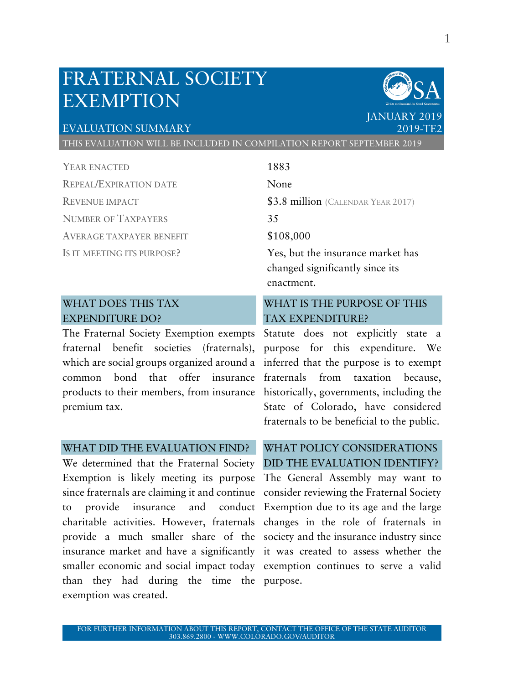## FRATERNAL SOCIETY EXEMPTION

#### EVALUATION SUMMARY

THIS EVALUATION WILL BE INCLUDED IN COMPILATION REPORT SEPTEMBER 2019

YEAR ENACTED 1883 REPEAL/EXPIRATION DATE None REVENUE IMPACT **\$3.8 million** (CALENDAR YEAR 2017) NUMBER OF TAXPAYERS 35 AVERAGE TAXPAYER BENEFIT \$108,000 IS IT MEETING ITS PURPOSE? Yes, but the insurance market has

#### WHAT DOES THIS TAX EXPENDITURE DO?

The Fraternal Society Exemption exempts Statute does not explicitly state a fraternal benefit societies (fraternals), purpose for this expenditure. We which are social groups organized around a inferred that the purpose is to exempt common bond that offer insurance fraternals from taxation because, products to their members, from insurance historically, governments, including the premium tax.

#### WHAT DID THE EVALUATION FIND?

We determined that the Fraternal Society DID THE EVALUATION IDENTIFY? Exemption is likely meeting its purpose The General Assembly may want to since fraternals are claiming it and continue consider reviewing the Fraternal Society to provide insurance and conduct Exemption due to its age and the large charitable activities. However, fraternals changes in the role of fraternals in provide a much smaller share of the society and the insurance industry since insurance market and have a significantly it was created to assess whether the smaller economic and social impact today exemption continues to serve a valid than they had during the time the purpose. exemption was created.

changed significantly since its enactment. WHAT IS THE PURPOSE OF THIS

# TAX EXPENDITURE?

State of Colorado, have considered fraternals to be beneficial to the public.

# WHAT POLICY CONSIDERATIONS

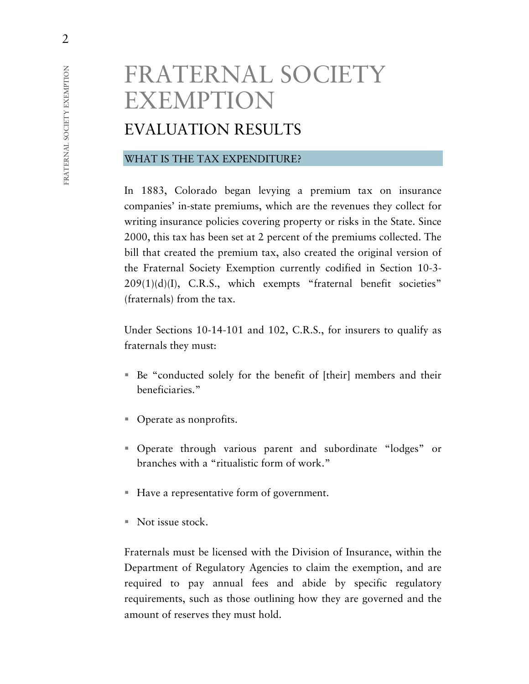# FRATERNAL SOCIETY EXEMPTION

## EVALUATION RESULTS

#### WHAT IS THE TAX EXPENDITURE?

In 1883, Colorado began levying a premium tax on insurance companies' in-state premiums, which are the revenues they collect for writing insurance policies covering property or risks in the State. Since 2000, this tax has been set at 2 percent of the premiums collected. The bill that created the premium tax, also created the original version of the Fraternal Society Exemption currently codified in Section 10-3-  $209(1)(d)(I)$ , C.R.S., which exempts "fraternal benefit societies" (fraternals) from the tax.

Under Sections 10-14-101 and 102, C.R.S., for insurers to qualify as fraternals they must:

- Be "conducted solely for the benefit of [their] members and their beneficiaries."
- Operate as nonprofits.
- Operate through various parent and subordinate "lodges" or branches with a "ritualistic form of work."
- Have a representative form of government.
- $\blacksquare$  Not issue stock.

Fraternals must be licensed with the Division of Insurance, within the Department of Regulatory Agencies to claim the exemption, and are required to pay annual fees and abide by specific regulatory requirements, such as those outlining how they are governed and the amount of reserves they must hold.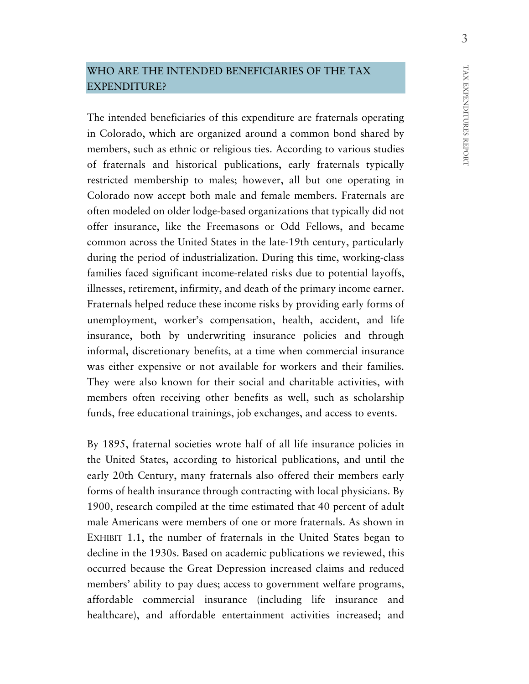#### WHO ARE THE INTENDED BENEFICIARIES OF THE TAX EXPENDITURE?

The intended beneficiaries of this expenditure are fraternals operating in Colorado, which are organized around a common bond shared by members, such as ethnic or religious ties. According to various studies of fraternals and historical publications, early fraternals typically restricted membership to males; however, all but one operating in Colorado now accept both male and female members. Fraternals are often modeled on older lodge-based organizations that typically did not offer insurance, like the Freemasons or Odd Fellows, and became common across the United States in the late-19th century, particularly during the period of industrialization. During this time, working-class families faced significant income-related risks due to potential layoffs, illnesses, retirement, infirmity, and death of the primary income earner. Fraternals helped reduce these income risks by providing early forms of unemployment, worker's compensation, health, accident, and life insurance, both by underwriting insurance policies and through informal, discretionary benefits, at a time when commercial insurance was either expensive or not available for workers and their families. They were also known for their social and charitable activities, with members often receiving other benefits as well, such as scholarship funds, free educational trainings, job exchanges, and access to events.

By 1895, fraternal societies wrote half of all life insurance policies in the United States, according to historical publications, and until the early 20th Century, many fraternals also offered their members early forms of health insurance through contracting with local physicians. By 1900, research compiled at the time estimated that 40 percent of adult male Americans were members of one or more fraternals. As shown in EXHIBIT 1.1, the number of fraternals in the United States began to decline in the 1930s. Based on academic publications we reviewed, this occurred because the Great Depression increased claims and reduced members' ability to pay dues; access to government welfare programs, affordable commercial insurance (including life insurance and healthcare), and affordable entertainment activities increased; and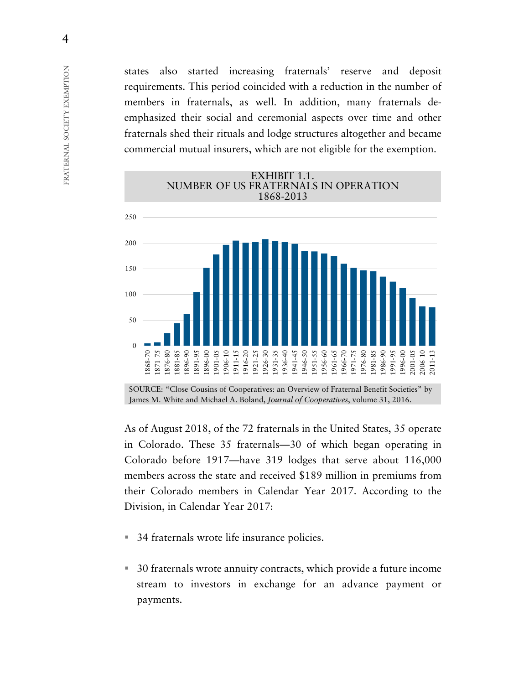states also started increasing fraternals' reserve and deposit requirements. This period coincided with a reduction in the number of members in fraternals, as well. In addition, many fraternals deemphasized their social and ceremonial aspects over time and other fraternals shed their rituals and lodge structures altogether and became commercial mutual insurers, which are not eligible for the exemption.



SOURCE: "Close Cousins of Cooperatives: an Overview of Fraternal Benefit Societies" by James M. White and Michael A. Boland, *Journal of Cooperatives*, volume 31, 2016.

As of August 2018, of the 72 fraternals in the United States, 35 operate in Colorado. These 35 fraternals—30 of which began operating in Colorado before 1917—have 319 lodges that serve about 116,000 members across the state and received \$189 million in premiums from their Colorado members in Calendar Year 2017. According to the Division, in Calendar Year 2017:

- 34 fraternals wrote life insurance policies.
- 30 fraternals wrote annuity contracts, which provide a future income stream to investors in exchange for an advance payment or payments.

4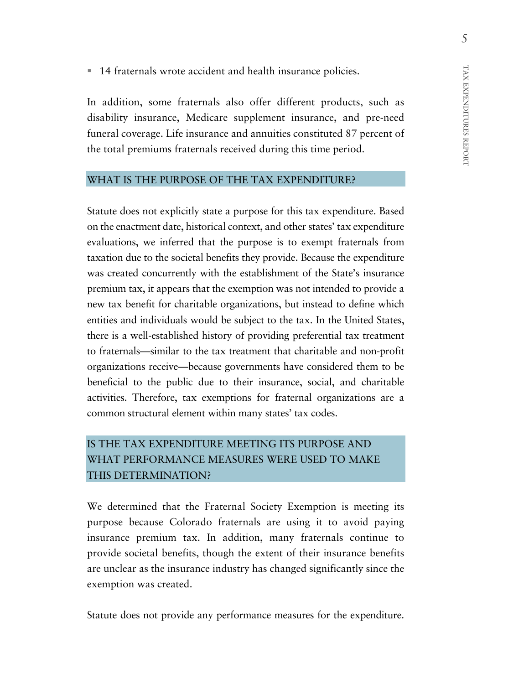■ 14 fraternals wrote accident and health insurance policies.

In addition, some fraternals also offer different products, such as disability insurance, Medicare supplement insurance, and pre-need funeral coverage. Life insurance and annuities constituted 87 percent of the total premiums fraternals received during this time period.

#### WHAT IS THE PURPOSE OF THE TAX EXPENDITURE?

Statute does not explicitly state a purpose for this tax expenditure. Based on the enactment date, historical context, and other states' tax expenditure evaluations, we inferred that the purpose is to exempt fraternals from taxation due to the societal benefits they provide. Because the expenditure was created concurrently with the establishment of the State's insurance premium tax, it appears that the exemption was not intended to provide a new tax benefit for charitable organizations, but instead to define which entities and individuals would be subject to the tax. In the United States, there is a well-established history of providing preferential tax treatment to fraternals—similar to the tax treatment that charitable and non-profit organizations receive—because governments have considered them to be beneficial to the public due to their insurance, social, and charitable activities. Therefore, tax exemptions for fraternal organizations are a common structural element within many states' tax codes.

## IS THE TAX EXPENDITURE MEETING ITS PURPOSE AND WHAT PERFORMANCE MEASURES WERE USED TO MAKE THIS DETERMINATION?

We determined that the Fraternal Society Exemption is meeting its purpose because Colorado fraternals are using it to avoid paying insurance premium tax. In addition, many fraternals continue to provide societal benefits, though the extent of their insurance benefits are unclear as the insurance industry has changed significantly since the exemption was created.

Statute does not provide any performance measures for the expenditure.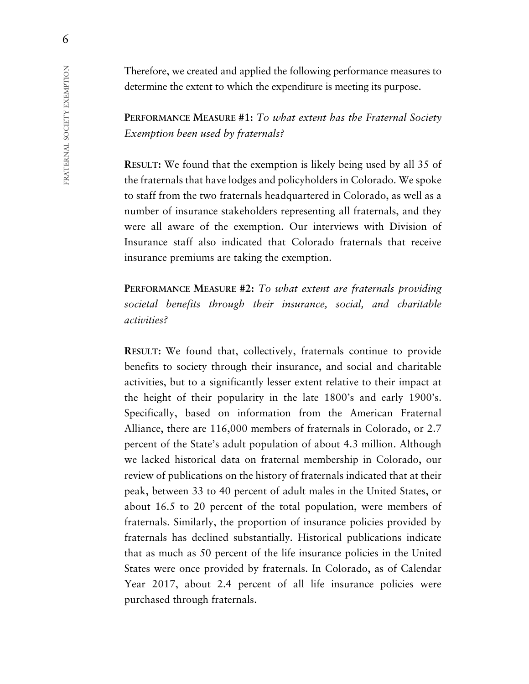Therefore, we created and applied the following performance measures to determine the extent to which the expenditure is meeting its purpose.

**PERFORMANCE MEASURE #1:** *To what extent has the Fraternal Society Exemption been used by fraternals?*

**RESULT:** We found that the exemption is likely being used by all 35 of the fraternals that have lodges and policyholders in Colorado. We spoke to staff from the two fraternals headquartered in Colorado, as well as a number of insurance stakeholders representing all fraternals, and they were all aware of the exemption. Our interviews with Division of Insurance staff also indicated that Colorado fraternals that receive insurance premiums are taking the exemption.

**PERFORMANCE MEASURE #2:** *To what extent are fraternals providing societal benefits through their insurance, social, and charitable activities?*

**RESULT:** We found that, collectively, fraternals continue to provide benefits to society through their insurance, and social and charitable activities, but to a significantly lesser extent relative to their impact at the height of their popularity in the late 1800's and early 1900's. Specifically, based on information from the American Fraternal Alliance, there are 116,000 members of fraternals in Colorado, or 2.7 percent of the State's adult population of about 4.3 million. Although we lacked historical data on fraternal membership in Colorado, our review of publications on the history of fraternals indicated that at their peak, between 33 to 40 percent of adult males in the United States, or about 16.5 to 20 percent of the total population, were members of fraternals. Similarly, the proportion of insurance policies provided by fraternals has declined substantially. Historical publications indicate that as much as 50 percent of the life insurance policies in the United States were once provided by fraternals. In Colorado, as of Calendar Year 2017, about 2.4 percent of all life insurance policies were purchased through fraternals.

6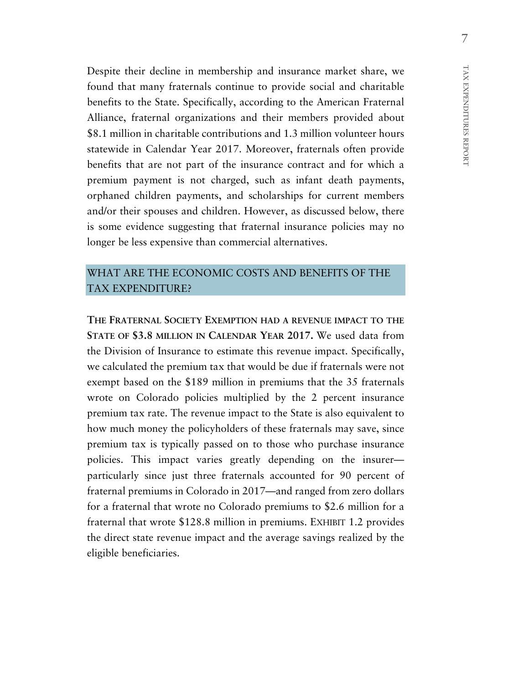Despite their decline in membership and insurance market share, we found that many fraternals continue to provide social and charitable benefits to the State. Specifically, according to the American Fraternal Alliance, fraternal organizations and their members provided about \$8.1 million in charitable contributions and 1.3 million volunteer hours statewide in Calendar Year 2017. Moreover, fraternals often provide benefits that are not part of the insurance contract and for which a premium payment is not charged, such as infant death payments, orphaned children payments, and scholarships for current members and/or their spouses and children. However, as discussed below, there is some evidence suggesting that fraternal insurance policies may no longer be less expensive than commercial alternatives.

#### WHAT ARE THE ECONOMIC COSTS AND BENEFITS OF THE TAX EXPENDITURE?

**THE FRATERNAL SOCIETY EXEMPTION HAD A REVENUE IMPACT TO THE STATE OF \$3.8 MILLION IN CALENDAR YEAR 2017.** We used data from the Division of Insurance to estimate this revenue impact. Specifically, we calculated the premium tax that would be due if fraternals were not exempt based on the \$189 million in premiums that the 35 fraternals wrote on Colorado policies multiplied by the 2 percent insurance premium tax rate. The revenue impact to the State is also equivalent to how much money the policyholders of these fraternals may save, since premium tax is typically passed on to those who purchase insurance policies. This impact varies greatly depending on the insurer particularly since just three fraternals accounted for 90 percent of fraternal premiums in Colorado in 2017—and ranged from zero dollars for a fraternal that wrote no Colorado premiums to \$2.6 million for a fraternal that wrote \$128.8 million in premiums. EXHIBIT 1.2 provides the direct state revenue impact and the average savings realized by the eligible beneficiaries.

TAX EXPENDITURES

TAX EXPENDITURES REPORT

REPORT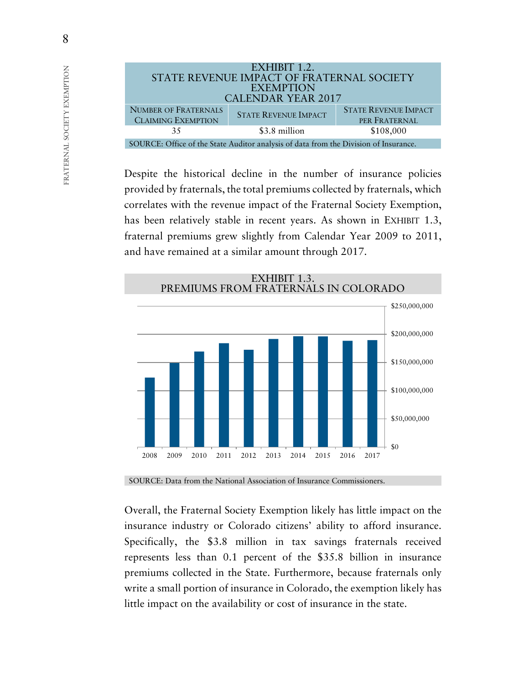

Despite the historical decline in the number of insurance policies provided by fraternals, the total premiums collected by fraternals, which correlates with the revenue impact of the Fraternal Society Exemption, has been relatively stable in recent years. As shown in EXHIBIT 1.3, fraternal premiums grew slightly from Calendar Year 2009 to 2011, and have remained at a similar amount through 2017.



SOURCE: Data from the National Association of Insurance Commissioners.

Overall, the Fraternal Society Exemption likely has little impact on the insurance industry or Colorado citizens' ability to afford insurance. Specifically, the \$3.8 million in tax savings fraternals received represents less than 0.1 percent of the \$35.8 billion in insurance premiums collected in the State. Furthermore, because fraternals only write a small portion of insurance in Colorado, the exemption likely has little impact on the availability or cost of insurance in the state.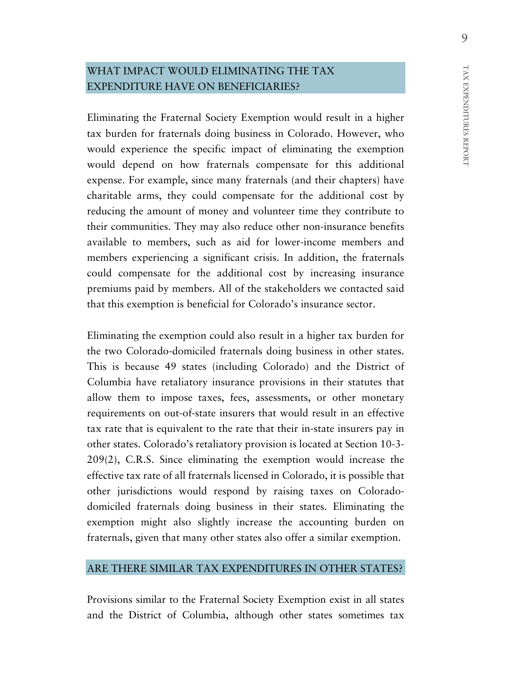#### WHAT IMPACT WOULD ELIMINATING THE TAX EXPENDITURE HAVE ON BENEFICIARIES?

Eliminating the Fraternal Society Exemption would result in a higher tax burden for fraternals doing business in Colorado. However, who would experience the specific impact of eliminating the exemption would depend on how fraternals compensate for this additional expense. For example, since many fraternals (and their chapters) have charitable arms, they could compensate for the additional cost by reducing the amount of money and volunteer time they contribute to their communities. They may also reduce other non-insurance benefits available to members, such as aid for lower-income members and members experiencing a significant crisis. In addition, the fraternals could compensate for the additional cost by increasing insurance premiums paid by members. All of the stakeholders we contacted said that this exemption is beneficial for Colorado's insurance sector.

Eliminating the exemption could also result in a higher tax burden for the two Colorado-domiciled fraternals doing business in other states. This is because 49 states (including Colorado) and the District of Columbia have retaliatory insurance provisions in their statutes that allow them to impose taxes, fees, assessments, or other monetary requirements on out-of-state insurers that would result in an effective tax rate that is equivalent to the rate that their in-state insurers pay in other states. Colorado's retaliatory provision is located at Section 10-3- 209(2), C.R.S. Since eliminating the exemption would increase the effective tax rate of all fraternals licensed in Colorado, it is possible that other jurisdictions would respond by raising taxes on Coloradodomiciled fraternals doing business in their states. Eliminating the exemption might also slightly increase the accounting burden on fraternals, given that many other states also offer a similar exemption.

#### ARE THERE SIMILAR TAX EXPENDITURES IN OTHER STATES?

Provisions similar to the Fraternal Society Exemption exist in all states and the District of Columbia, although other states sometimes tax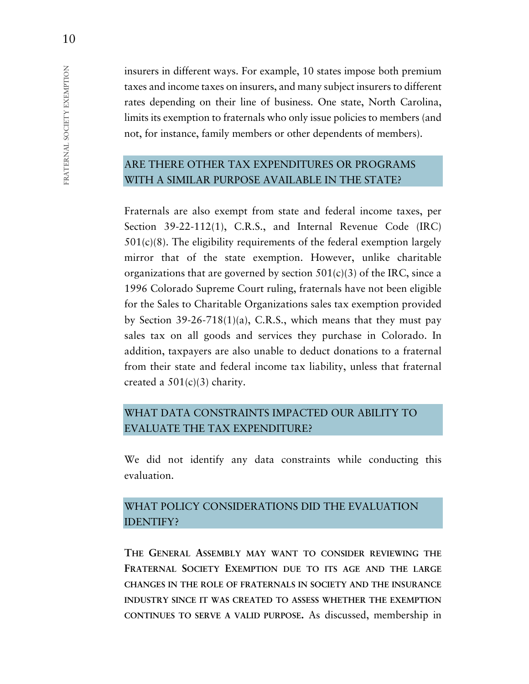insurers in different ways. For example, 10 states impose both premium taxes and income taxes on insurers, and many subject insurers to different rates depending on their line of business. One state, North Carolina, limits its exemption to fraternals who only issue policies to members (and not, for instance, family members or other dependents of members).

## ARE THERE OTHER TAX EXPENDITURES OR PROGRAMS WITH A SIMILAR PURPOSE AVAILABLE IN THE STATE?

Fraternals are also exempt from state and federal income taxes, per Section 39-22-112(1), C.R.S., and Internal Revenue Code (IRC)  $501(c)(8)$ . The eligibility requirements of the federal exemption largely mirror that of the state exemption. However, unlike charitable organizations that are governed by section  $501(c)(3)$  of the IRC, since a 1996 Colorado Supreme Court ruling, fraternals have not been eligible for the Sales to Charitable Organizations sales tax exemption provided by Section 39-26-718(1)(a), C.R.S., which means that they must pay sales tax on all goods and services they purchase in Colorado. In addition, taxpayers are also unable to deduct donations to a fraternal from their state and federal income tax liability, unless that fraternal created a  $501(c)(3)$  charity.

### WHAT DATA CONSTRAINTS IMPACTED OUR ABILITY TO EVALUATE THE TAX EXPENDITURE?

We did not identify any data constraints while conducting this evaluation.

### WHAT POLICY CONSIDERATIONS DID THE EVALUATION IDENTIFY?

**THE GENERAL ASSEMBLY MAY WANT TO CONSIDER REVIEWING THE FRATERNAL SOCIETY EXEMPTION DUE TO ITS AGE AND THE LARGE CHANGES IN THE ROLE OF FRATERNALS IN SOCIETY AND THE INSURANCE INDUSTRY SINCE IT WAS CREATED TO ASSESS WHETHER THE EXEMPTION CONTINUES TO SERVE A VALID PURPOSE.** As discussed, membership in